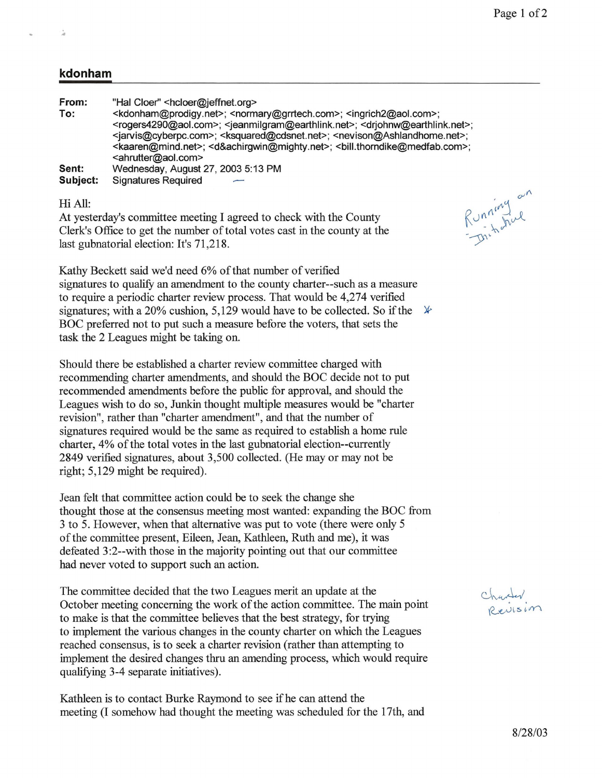## **kdonham**

 $\frac{1}{2}$ 

| From:    | "Hal Cloer" <hcloer@jeffnet.org></hcloer@jeffnet.org>                                                                                                                                                                                                                                                                                                                                                                                                                                                                                                                                           |
|----------|-------------------------------------------------------------------------------------------------------------------------------------------------------------------------------------------------------------------------------------------------------------------------------------------------------------------------------------------------------------------------------------------------------------------------------------------------------------------------------------------------------------------------------------------------------------------------------------------------|
| To:      | <kdonham@prodigy.net>; <normary@grrtech.com>; <ingrich2@aol.com>;<br/><rogers4290@aol.com>; <jeanmilgram@earthlink.net>; <drjohnw@earthlink.net>;<br/><iarvis@cyberpc.com>; <ksquared@cdsnet.net>; <nevison@ashlandhome.net>;<br/><kaaren@mind.net>; <d&achirgwin@mighty.net>; <bill.thorndike@medfab.com>;</bill.thorndike@medfab.com></d&achirgwin@mighty.net></kaaren@mind.net></nevison@ashlandhome.net></ksquared@cdsnet.net></iarvis@cyberpc.com></drjohnw@earthlink.net></jeanmilgram@earthlink.net></rogers4290@aol.com></ingrich2@aol.com></normary@grrtech.com></kdonham@prodigy.net> |
|          | <ahrutter@aol.com></ahrutter@aol.com>                                                                                                                                                                                                                                                                                                                                                                                                                                                                                                                                                           |
| Sent:    | Wednesday, August 27, 2003 5:13 PM                                                                                                                                                                                                                                                                                                                                                                                                                                                                                                                                                              |
| Subject: | <b>Signatures Required</b>                                                                                                                                                                                                                                                                                                                                                                                                                                                                                                                                                                      |

Hi All:

At yesterday's committee meeting I agreed to check with the County Clerk's Office to get the number of total votes cast in the county at the last gubnatorial election: It's 71,218.

Kathy Beckett said we'd need 6% of that number of verified signatures to qualify an amendment to the county charter--such as a measure to require a periodic charter review process. That would be 4,274 verified signatures; with a 20% cushion, 5,129 would have to be collected. So if the  $\mathcal{V}$ BOC preferred not to put such a measure before the voters, that sets the task the 2 Leagues might be taking on.

Should there be established a charter review committee charged with recommending charter amendments, and should the BOC decide not to put recommended amendments before the public for approval, and should the Leagues wish to do so, Junkin thought multiple measures would be "charter revision", rather than "charter amendment", and that the number of signatures required would be the same as required to establish a home rule charter, 4% of the total votes in the last gubnatorial election--currently 2849 verified signatures, about 3,500 collected. (He mayor may not be right; 5,129 might be required).

Jean felt that committee action could be to seek the change she thought those at the consensus meeting most wanted: expanding the BOC from 3 to 5. However, when that alternative was put to vote (there were only 5 of the committee present, Eileen, Jean, Kathleen, Ruth and me), it was defeated 3 :2--with those in the majority pointing out that our committee had never voted to support such an action.

The committee decided that the two Leagues merit an update at the October meeting concerning the work of the action committee. The main point to make is that the committee believes that the best strategy, for trying to implement the various changes in the county charter on which the Leagues reached consensus, is to seek a charter revision (rather than attempting to implement the desired changes thru an amending process, which would require qualifying 3-4 separate initiatives).

Kathleen is to contact Burke Raymond to see if he can attend the meeting (I somehow had thought the meeting was scheduled for the 17th, and

Running an

Charles<br>Revision